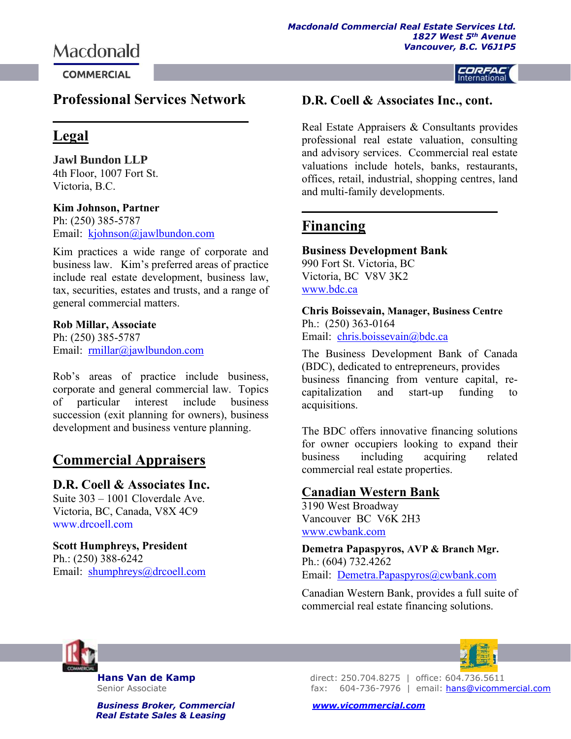**COMMERCIAL** 

#### CORFAC International

## **Professional Services Network \_\_\_\_\_\_\_\_\_\_\_\_\_\_\_\_\_\_\_\_\_\_\_\_\_\_\_\_\_\_**

# **Legal**

**Jawl Bundon LLP** 4th Floor, 1007 Fort St. Victoria, B.C.

**Kim Johnson, Partner** Ph: (250) 385-5787 Email: [kjohnson@jawlbundon.com](mailto:kjohnson@jawlbundon.com)

Kim practices a wide range of corporate and business law. Kim's preferred areas of practice include real estate development, business law, tax, securities, estates and trusts, and a range of general commercial matters.

#### **Rob Millar, Associate**

Ph: (250) 385-5787 Email: [rmillar@jawlbundon.com](mailto:rmillar@jawlbundon.com) 

Rob's areas of practice include business, corporate and general commercial law. Topics of particular interest include business succession (exit planning for owners), business development and business venture planning.

# **Commercial Appraisers**

### **D.R. Coell & Associates Inc.**

Suite 303 – 1001 Cloverdale Ave. Victoria, BC, Canada, V8X 4C9 [www.drcoell.com](http://www.drcoell.com/)

**Scott Humphreys, President** Ph.: (250) 388-6242 Email: [shumphreys@drcoell.com](mailto:shumphreys@drcoell.com)

### **D.R. Coell & Associates Inc., cont.**

Real Estate Appraisers & Consultants provides professional real estate valuation, consulting and advisory services. Ccommercial real estate valuations include hotels, banks, restaurants, offices, retail, industrial, shopping centres, land and multi-family developments.

**\_\_\_\_\_\_\_\_\_\_\_\_\_\_\_\_\_\_\_\_\_\_\_\_\_\_\_\_\_\_**

## **Financing**

#### **Business Development Bank**

990 Fort St. Victoria, BC Victoria, BC V8V 3K2 [www.bdc.ca](http://www.bdc.ca/)

#### **Chris Boissevain, Manager, Business Centre** Ph.: (250) 363-0164

Email: [chris.boissevain@bdc.ca](mailto:chris.boissevain@bdc.ca)

The Business Development Bank of Canada (BDC), dedicated to entrepreneurs, provides business financing from venture capital, recapitalization and start-up funding to acquisitions.

The BDC offers innovative financing solutions for owner occupiers looking to expand their business including acquiring related commercial real estate properties.

### **Canadian Western Bank**

3190 West Broadway Vancouver BC V6K 2H3 [www.cwbank.com](http://www.cwbank.com/)

**Demetra Papaspyros, AVP & Branch Mgr.** Ph.: (604) 732.4262 Email: [Demetra.Papaspyros@cwbank.com](mailto:Demetra.Papaspyros@cwbank.com)

Canadian Western Bank, provides a full suite of commercial real estate financing solutions.



 *Business Broker, Commercial [www.vicommercial.com](http://www.vicommercial.com/) Real Estate Sales & Leasing*

**Hans Van de Kamp direct: 250.704.8275 | office: 604.736.5611** Senior Associate fax: 604-736-7976 | email: [hans@vicommercial.com](mailto:hans@vicommercial.com)

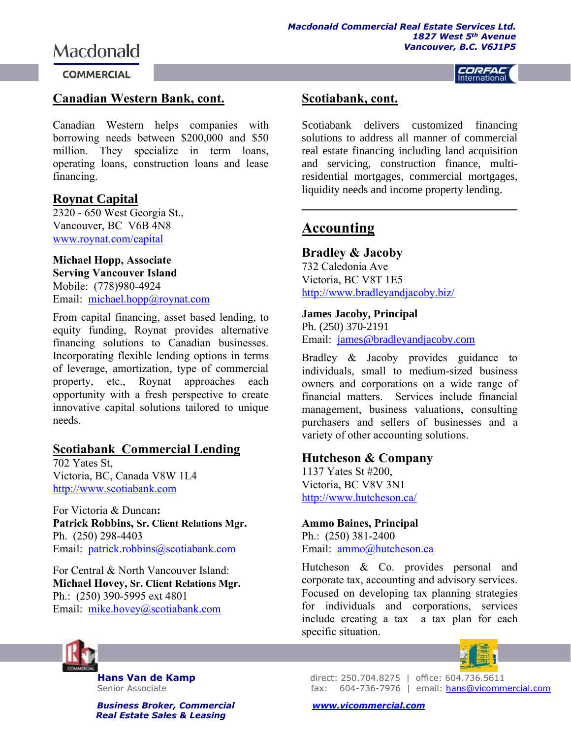#### **COMMERCIAL**

## **Canadian Western Bank, cont.**

Canadian Western helps companies with borrowing needs between \$200,000 and \$50 million. They specialize in term loans, operating loans, construction loans and lease financing.

#### **Roynat Capital**

2320 - 650 West Georgia St., Vancouver, BC V6B 4N8 [www.roynat.com/capital](http://www.roynat.com/capital)

### **Michael Hopp, Associate**

**Serving Vancouver Island** Mobile: (778)980-4924 Email: [michael.hopp@roynat.com](mailto:michael.hopp@roynat.com)

From capital financing, asset based lending, to equity funding, Roynat provides alternative financing solutions to Canadian businesses. Incorporating flexible lending options in terms of leverage, amortization, type of commercial property, etc., Roynat approaches each opportunity with a fresh perspective to create innovative capital solutions tailored to unique needs.

#### **Scotiabank Commercial Lending**

702 Yates St, Victoria, BC, Canada V8W 1L4 [http://www.scotiabank.com](http://www.scotiabank.com/ca/en/0,,4672,00.html)

For Victoria & Duncan**: Patrick Robbins, Sr. Client Relations Mgr.**  Ph. (250) 298-4403 Email: [patrick.robbins@scotiabank.com](mailto:patrick.robbins@scotiabank.com)

For Central & North Vancouver Island: **Michael Hovey, Sr. Client Relations Mgr.** Ph.: (250) 390-5995 ext 4801 Email: [mike.hovey@scotiabank.com](mailto:mike.hovey@scotiabank.com)

CORFAC International

## **Scotiabank, cont.**

Scotiabank delivers customized financing solutions to address all manner of commercial real estate financing including land acquisition and servicing, construction finance, multiresidential mortgages, commercial mortgages, liquidity needs and income property lending.

**\_\_\_\_\_\_\_\_\_\_\_\_\_\_\_\_\_\_\_\_\_\_\_\_\_\_\_\_\_\_\_\_\_**

# **Accounting**

### **Bradley & Jacoby**

732 Caledonia Ave Victoria, BC V8T 1E5 <http://www.bradleyandjacoby.biz/>

#### **James Jacoby, Principal**

Ph. (250) 370-2191 Email: [james@bradleyandjacoby.com](mailto:james@bradleyandjacoby.com)

Bradley & Jacoby provides guidance to individuals, small to medium-sized business owners and corporations on a wide range of financial matters. Services include financial management, business valuations, consulting purchasers and sellers of businesses and a variety of other accounting solutions.

#### **Hutcheson & Company**

1137 Yates St #200, Victoria, BC V8V 3N1 <http://www.hutcheson.ca/>

**Ammo Baines, Principal** Ph.: (250) 381-2400 Email: [ammo@hutcheson.ca](mailto:ammo@hutcheson.ca)

Hutcheson & Co. provides personal and corporate tax, accounting and advisory services. Focused on developing tax planning strategies for individuals and corporations, services include creating a tax a tax plan for each specific situation.



 *Business Broker, Commercial [www.vicommercial.com](http://www.vicommercial.com/) Real Estate Sales & Leasing*



**Hans Van de Kamp direct: 250.704.8275 | office: 604.736.5611** Senior Associate fax: 604-736-7976 | email: [hans@vicommercial.com](mailto:hans@vicommercial.com)